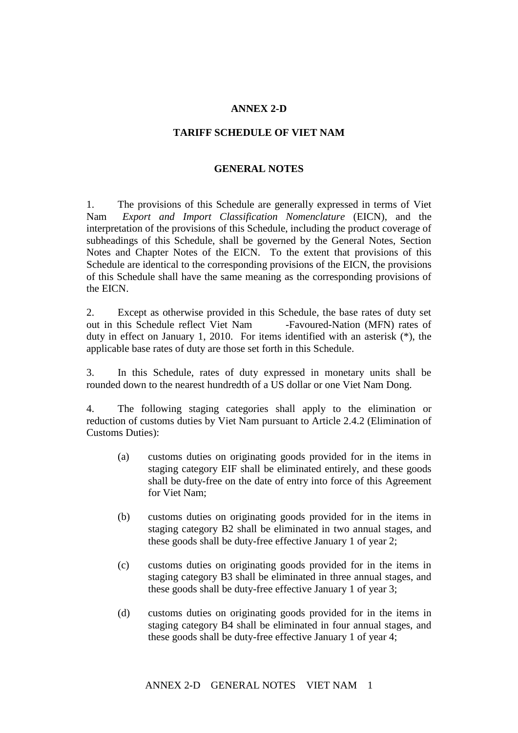## **ANNEX 2-D**

## **TARIFF SCHEDULE OF VIET NAM**

## **GENERAL NOTES**

1. The provisions of this Schedule are generally expressed in terms of Viet Nam's *Export and Import Classification Nomenclature* (EICN), and the interpretation of the provisions of this Schedule, including the product coverage of subheadings of this Schedule, shall be governed by the General Notes, Section Notes and Chapter Notes of the EICN. To the extent that provisions of this Schedule are identical to the corresponding provisions of the EICN, the provisions of this Schedule shall have the same meaning as the corresponding provisions of the EICN.

2. Except as otherwise provided in this Schedule, the base rates of duty set out in this Schedule reflect Viet Nam -Favoured-Nation (MFN) rates of duty in effect on January 1, 2010. For items identified with an asterisk (\*), the applicable base rates of duty are those set forth in this Schedule.

3. In this Schedule, rates of duty expressed in monetary units shall be rounded down to the nearest hundredth of a US dollar or one Viet Nam Dong.

4. The following staging categories shall apply to the elimination or reduction of customs duties by Viet Nam pursuant to Article 2.4.2 (Elimination of Customs Duties):

- (a) customs duties on originating goods provided for in the items in staging category EIF shall be eliminated entirely, and these goods shall be duty-free on the date of entry into force of this Agreement for Viet Nam;
- (b) customs duties on originating goods provided for in the items in staging category B2 shall be eliminated in two annual stages, and these goods shall be duty-free effective January 1 of year 2;
- (c) customs duties on originating goods provided for in the items in staging category B3 shall be eliminated in three annual stages, and these goods shall be duty-free effective January 1 of year 3;
- (d) customs duties on originating goods provided for in the items in staging category B4 shall be eliminated in four annual stages, and these goods shall be duty-free effective January 1 of year 4;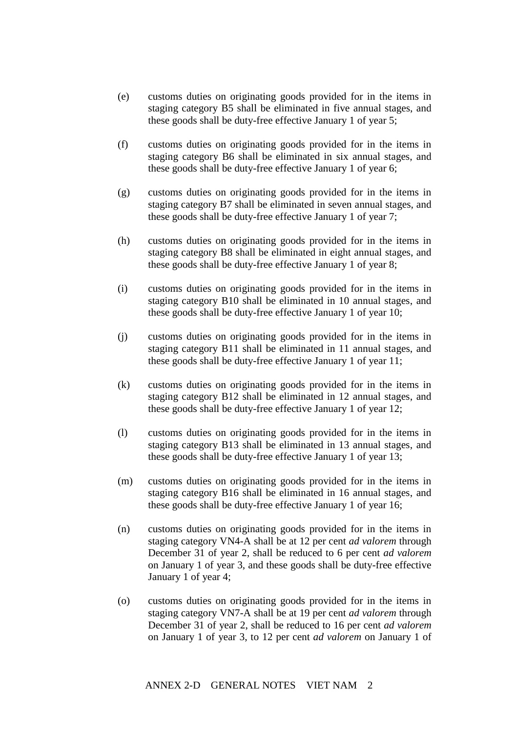- (e) customs duties on originating goods provided for in the items in staging category B5 shall be eliminated in five annual stages, and these goods shall be duty-free effective January 1 of year 5;
- (f) customs duties on originating goods provided for in the items in staging category B6 shall be eliminated in six annual stages, and these goods shall be duty-free effective January 1 of year 6;
- (g) customs duties on originating goods provided for in the items in staging category B7 shall be eliminated in seven annual stages, and these goods shall be duty-free effective January 1 of year 7;
- (h) customs duties on originating goods provided for in the items in staging category B8 shall be eliminated in eight annual stages, and these goods shall be duty-free effective January 1 of year 8;
- (i) customs duties on originating goods provided for in the items in staging category B10 shall be eliminated in 10 annual stages, and these goods shall be duty-free effective January 1 of year 10;
- (j) customs duties on originating goods provided for in the items in staging category B11 shall be eliminated in 11 annual stages, and these goods shall be duty-free effective January 1 of year 11;
- (k) customs duties on originating goods provided for in the items in staging category B12 shall be eliminated in 12 annual stages, and these goods shall be duty-free effective January 1 of year 12;
- (l) customs duties on originating goods provided for in the items in staging category B13 shall be eliminated in 13 annual stages, and these goods shall be duty-free effective January 1 of year 13;
- (m) customs duties on originating goods provided for in the items in staging category B16 shall be eliminated in 16 annual stages, and these goods shall be duty-free effective January 1 of year 16;
- (n) customs duties on originating goods provided for in the items in staging category VN4-A shall be at 12 per cent *ad valorem* through December 31 of year 2, shall be reduced to 6 per cent *ad valorem*  on January 1 of year 3, and these goods shall be duty-free effective January 1 of year 4;
- (o) customs duties on originating goods provided for in the items in staging category VN7-A shall be at 19 per cent *ad valorem* through December 31 of year 2, shall be reduced to 16 per cent *ad valorem*  on January 1 of year 3, to 12 per cent *ad valorem* on January 1 of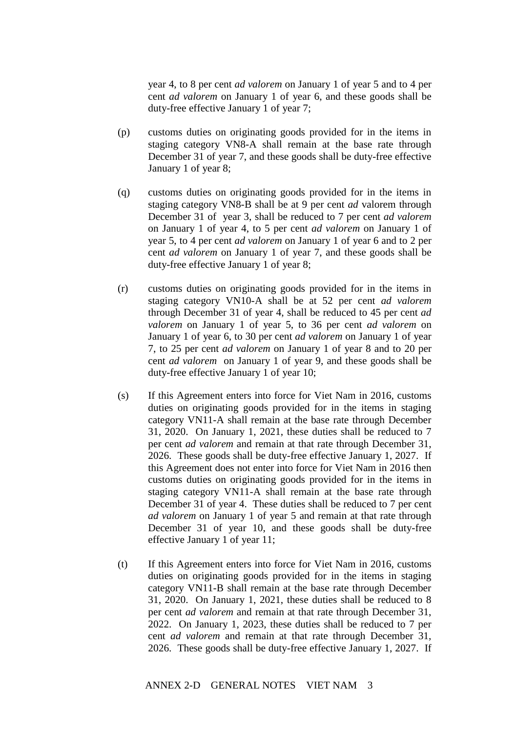year 4, to 8 per cent *ad valorem* on January 1 of year 5 and to 4 per cent *ad valorem* on January 1 of year 6, and these goods shall be duty-free effective January 1 of year 7;

- (p) customs duties on originating goods provided for in the items in staging category VN8-A shall remain at the base rate through December 31 of year 7, and these goods shall be duty-free effective January 1 of year 8;
- (q) customs duties on originating goods provided for in the items in staging category VN8-B shall be at 9 per cent *ad* valorem through December 31 of year 3, shall be reduced to 7 per cent *ad valorem*  on January 1 of year 4, to 5 per cent *ad valorem* on January 1 of year 5, to 4 per cent *ad valorem* on January 1 of year 6 and to 2 per cent *ad valorem* on January 1 of year 7, and these goods shall be duty-free effective January 1 of year 8;
- (r) customs duties on originating goods provided for in the items in staging category VN10-A shall be at 52 per cent *ad valorem* through December 31 of year 4, shall be reduced to 45 per cent *ad valorem* on January 1 of year 5, to 36 per cent *ad valorem* on January 1 of year 6, to 30 per cent *ad valorem* on January 1 of year 7, to 25 per cent *ad valorem* on January 1 of year 8 and to 20 per cent *ad valorem* on January 1 of year 9, and these goods shall be duty-free effective January 1 of year 10;
- (s) If this Agreement enters into force for Viet Nam in 2016, customs duties on originating goods provided for in the items in staging category VN11-A shall remain at the base rate through December 31, 2020. On January 1, 2021, these duties shall be reduced to 7 per cent *ad valorem* and remain at that rate through December 31, 2026. These goods shall be duty-free effective January 1, 2027. If this Agreement does not enter into force for Viet Nam in 2016 then customs duties on originating goods provided for in the items in staging category VN11-A shall remain at the base rate through December 31 of year 4. These duties shall be reduced to 7 per cent *ad valorem* on January 1 of year 5 and remain at that rate through December 31 of year 10, and these goods shall be duty-free effective January 1 of year 11;
- (t) If this Agreement enters into force for Viet Nam in 2016, customs duties on originating goods provided for in the items in staging category VN11-B shall remain at the base rate through December 31, 2020. On January 1, 2021, these duties shall be reduced to 8 per cent *ad valorem* and remain at that rate through December 31, 2022. On January 1, 2023, these duties shall be reduced to 7 per cent *ad valorem* and remain at that rate through December 31, 2026. These goods shall be duty-free effective January 1, 2027. If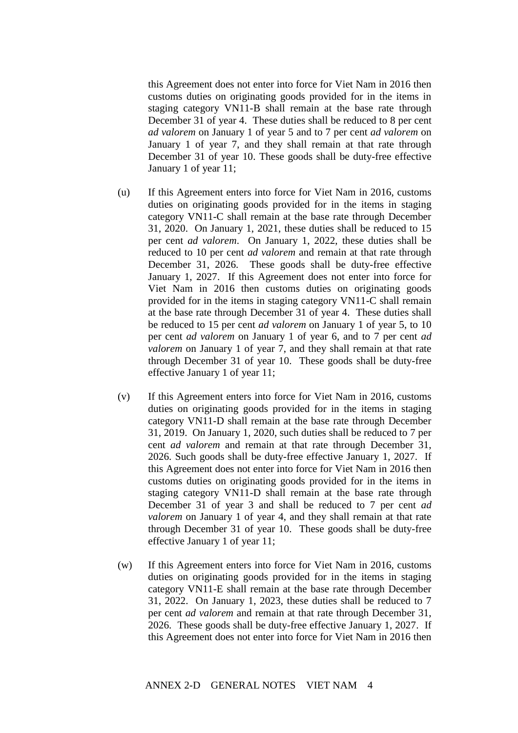this Agreement does not enter into force for Viet Nam in 2016 then customs duties on originating goods provided for in the items in staging category VN11-B shall remain at the base rate through December 31 of year 4. These duties shall be reduced to 8 per cent *ad valorem* on January 1 of year 5 and to 7 per cent *ad valorem* on January 1 of year 7, and they shall remain at that rate through December 31 of year 10. These goods shall be duty-free effective January 1 of year 11;

- (u) If this Agreement enters into force for Viet Nam in 2016, customs duties on originating goods provided for in the items in staging category VN11-C shall remain at the base rate through December 31, 2020. On January 1, 2021, these duties shall be reduced to 15 per cent *ad valorem*. On January 1, 2022, these duties shall be reduced to 10 per cent *ad valorem* and remain at that rate through December 31, 2026. These goods shall be duty-free effective January 1, 2027. If this Agreement does not enter into force for Viet Nam in 2016 then customs duties on originating goods provided for in the items in staging category VN11-C shall remain at the base rate through December 31 of year 4. These duties shall be reduced to 15 per cent *ad valorem* on January 1 of year 5, to 10 per cent *ad valorem* on January 1 of year 6, and to 7 per cent *ad valorem* on January 1 of year 7, and they shall remain at that rate through December 31 of year 10. These goods shall be duty-free effective January 1 of year 11;
- (v) If this Agreement enters into force for Viet Nam in 2016, customs duties on originating goods provided for in the items in staging category VN11-D shall remain at the base rate through December 31, 2019. On January 1, 2020, such duties shall be reduced to 7 per cent *ad valorem* and remain at that rate through December 31, 2026. Such goods shall be duty-free effective January 1, 2027. If this Agreement does not enter into force for Viet Nam in 2016 then customs duties on originating goods provided for in the items in staging category VN11-D shall remain at the base rate through December 31 of year 3 and shall be reduced to 7 per cent *ad valorem* on January 1 of year 4, and they shall remain at that rate through December 31 of year 10. These goods shall be duty-free effective January 1 of year 11;
- (w) If this Agreement enters into force for Viet Nam in 2016, customs duties on originating goods provided for in the items in staging category VN11-E shall remain at the base rate through December 31, 2022. On January 1, 2023, these duties shall be reduced to 7 per cent *ad valorem* and remain at that rate through December 31, 2026. These goods shall be duty-free effective January 1, 2027. If this Agreement does not enter into force for Viet Nam in 2016 then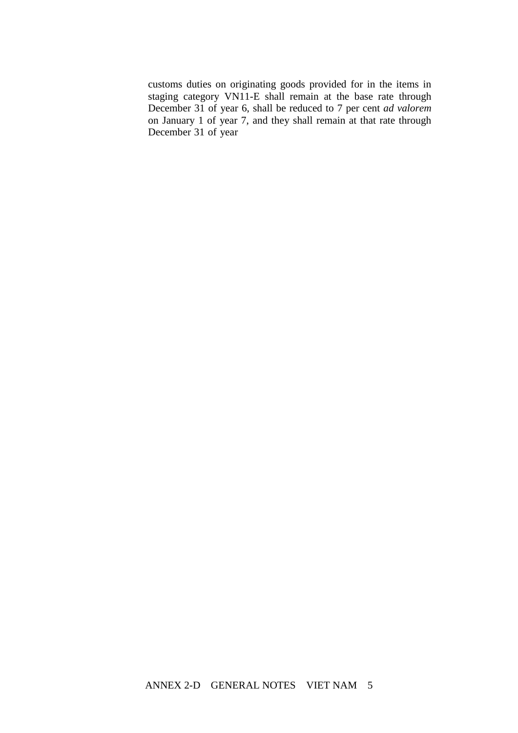customs duties on originating goods provided for in the items in staging category VN11-E shall remain at the base rate through December 31 of year 6, shall be reduced to 7 per cent *ad valorem* on January 1 of year 7, and they shall remain at that rate through December 31 of year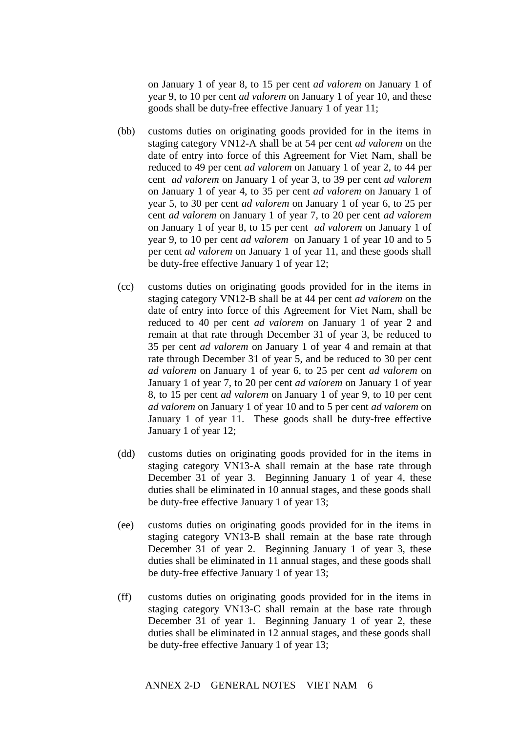on January 1 of year 8, to 15 per cent *ad valorem* on January 1 of year 9, to 10 per cent *ad valorem* on January 1 of year 10, and these goods shall be duty-free effective January 1 of year 11;

- (bb) customs duties on originating goods provided for in the items in staging category VN12-A shall be at 54 per cent *ad valorem* on the date of entry into force of this Agreement for Viet Nam, shall be reduced to 49 per cent *ad valorem* on January 1 of year 2, to 44 per cent *ad valorem* on January 1 of year 3, to 39 per cent *ad valorem* on January 1 of year 4, to 35 per cent *ad valorem* on January 1 of year 5, to 30 per cent *ad valorem* on January 1 of year 6, to 25 per cent *ad valorem* on January 1 of year 7, to 20 per cent *ad valorem* on January 1 of year 8, to 15 per cent *ad valorem* on January 1 of year 9, to 10 per cent *ad valorem* on January 1 of year 10 and to 5 per cent *ad valorem* on January 1 of year 11, and these goods shall be duty-free effective January 1 of year 12;
- (cc) customs duties on originating goods provided for in the items in staging category VN12-B shall be at 44 per cent *ad valorem* on the date of entry into force of this Agreement for Viet Nam, shall be reduced to 40 per cent *ad valorem* on January 1 of year 2 and remain at that rate through December 31 of year 3, be reduced to 35 per cent *ad valorem* on January 1 of year 4 and remain at that rate through December 31 of year 5, and be reduced to 30 per cent *ad valorem* on January 1 of year 6, to 25 per cent *ad valorem* on January 1 of year 7, to 20 per cent *ad valorem* on January 1 of year 8, to 15 per cent *ad valorem* on January 1 of year 9, to 10 per cent *ad valorem* on January 1 of year 10 and to 5 per cent *ad valorem* on January 1 of year 11. These goods shall be duty-free effective January 1 of year 12;
- (dd) customs duties on originating goods provided for in the items in staging category VN13-A shall remain at the base rate through December 31 of year 3. Beginning January 1 of year 4, these duties shall be eliminated in 10 annual stages, and these goods shall be duty-free effective January 1 of year 13;
- (ee) customs duties on originating goods provided for in the items in staging category VN13-B shall remain at the base rate through December 31 of year 2. Beginning January 1 of year 3, these duties shall be eliminated in 11 annual stages, and these goods shall be duty-free effective January 1 of year 13;
- (ff) customs duties on originating goods provided for in the items in staging category VN13-C shall remain at the base rate through December 31 of year 1. Beginning January 1 of year 2, these duties shall be eliminated in 12 annual stages, and these goods shall be duty-free effective January 1 of year 13;